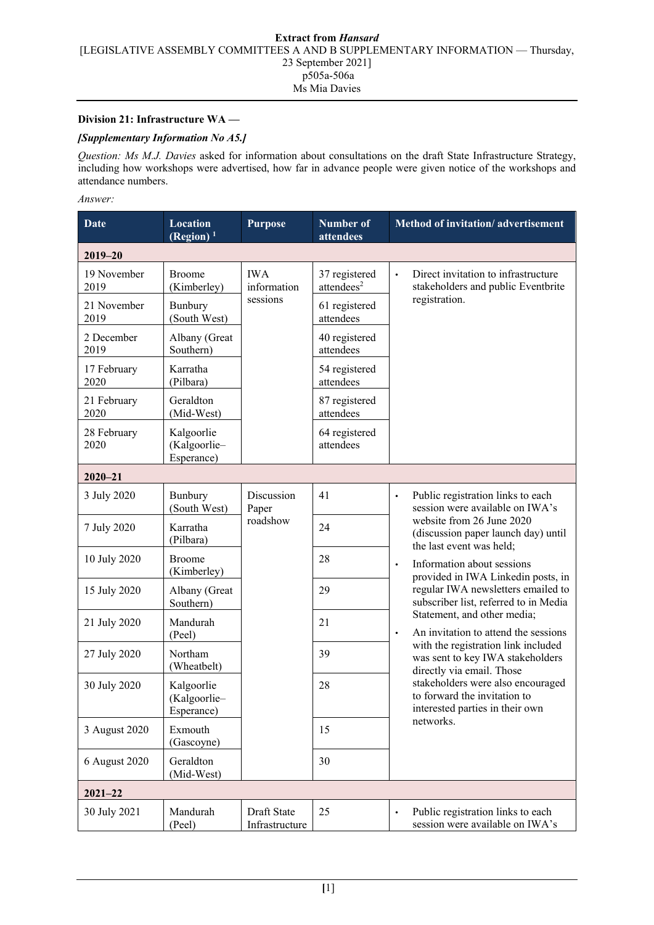## **Division 21: Infrastructure WA —**

## *[Supplementary Information No A5.]*

*Question: Ms M.J. Davies* asked for information about consultations on the draft State Infrastructure Strategy, including how workshops were advertised, how far in advance people were given notice of the workshops and attendance numbers.

## *Answer:*

| Date                | <b>Location</b><br>(Region) $1$          | <b>Purpose</b>                        | <b>Number</b> of<br>attendees           | Method of invitation/advertisement                                                                                                                                                                                                                                                  |  |  |  |  |  |
|---------------------|------------------------------------------|---------------------------------------|-----------------------------------------|-------------------------------------------------------------------------------------------------------------------------------------------------------------------------------------------------------------------------------------------------------------------------------------|--|--|--|--|--|
| $2019 - 20$         |                                          |                                       |                                         |                                                                                                                                                                                                                                                                                     |  |  |  |  |  |
| 19 November<br>2019 | <b>Broome</b><br>(Kimberley)             | <b>IWA</b><br>information<br>sessions | 37 registered<br>attendees <sup>2</sup> | Direct invitation to infrastructure<br>$\bullet$<br>stakeholders and public Eventbrite                                                                                                                                                                                              |  |  |  |  |  |
| 21 November<br>2019 | Bunbury<br>(South West)                  |                                       | 61 registered<br>attendees              | registration.                                                                                                                                                                                                                                                                       |  |  |  |  |  |
| 2 December<br>2019  | Albany (Great<br>Southern)               |                                       | 40 registered<br>attendees              |                                                                                                                                                                                                                                                                                     |  |  |  |  |  |
| 17 February<br>2020 | Karratha<br>(Pilbara)                    |                                       | 54 registered<br>attendees              |                                                                                                                                                                                                                                                                                     |  |  |  |  |  |
| 21 February<br>2020 | Geraldton<br>(Mid-West)                  |                                       | 87 registered<br>attendees              |                                                                                                                                                                                                                                                                                     |  |  |  |  |  |
| 28 February<br>2020 | Kalgoorlie<br>(Kalgoorlie-<br>Esperance) |                                       | 64 registered<br>attendees              |                                                                                                                                                                                                                                                                                     |  |  |  |  |  |
| $2020 - 21$         |                                          |                                       |                                         |                                                                                                                                                                                                                                                                                     |  |  |  |  |  |
| 3 July 2020         | Bunbury<br>(South West)                  | Discussion<br>Paper<br>roadshow       | 41                                      | Public registration links to each<br>$\bullet$<br>session were available on IWA's                                                                                                                                                                                                   |  |  |  |  |  |
| 7 July 2020         | Karratha<br>(Pilbara)                    |                                       | 24                                      | website from 26 June 2020<br>(discussion paper launch day) until<br>the last event was held;                                                                                                                                                                                        |  |  |  |  |  |
| 10 July 2020        | <b>Broome</b><br>(Kimberley)             |                                       | 28                                      | Information about sessions<br>$\bullet$<br>provided in IWA Linkedin posts, in                                                                                                                                                                                                       |  |  |  |  |  |
| 15 July 2020        | Albany (Great<br>Southern)               |                                       | 29                                      | regular IWA newsletters emailed to<br>subscriber list, referred to in Media                                                                                                                                                                                                         |  |  |  |  |  |
| 21 July 2020        | Mandurah<br>(Peel)                       |                                       | 21                                      | Statement, and other media;<br>An invitation to attend the sessions<br>with the registration link included<br>was sent to key IWA stakeholders<br>directly via email. Those<br>stakeholders were also encouraged<br>to forward the invitation to<br>interested parties in their own |  |  |  |  |  |
| 27 July 2020        | Northam<br>(Wheatbelt)                   |                                       | 39                                      |                                                                                                                                                                                                                                                                                     |  |  |  |  |  |
| 30 July 2020        | Kalgoorlie<br>(Kalgoorlie-<br>Esperance) |                                       | 28                                      |                                                                                                                                                                                                                                                                                     |  |  |  |  |  |
| 3 August 2020       | Exmouth<br>(Gascoyne)                    |                                       | 15                                      | networks.                                                                                                                                                                                                                                                                           |  |  |  |  |  |
| 6 August 2020       | Geraldton<br>(Mid-West)                  |                                       | 30                                      |                                                                                                                                                                                                                                                                                     |  |  |  |  |  |
| $2021 - 22$         |                                          |                                       |                                         |                                                                                                                                                                                                                                                                                     |  |  |  |  |  |
| 30 July 2021        | Mandurah<br>(Peel)                       | Draft State<br>Infrastructure         | 25                                      | Public registration links to each<br>$\bullet$<br>session were available on IWA's                                                                                                                                                                                                   |  |  |  |  |  |